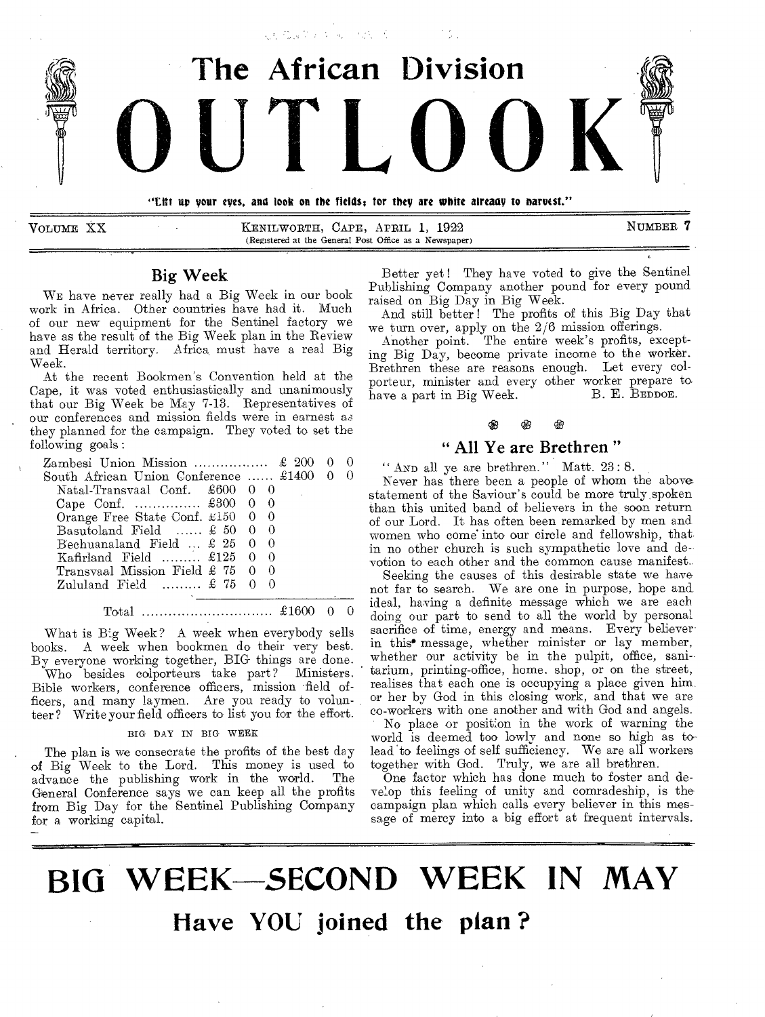

VOLUME XX KENILWORTH, CAPE, APRIL 1, 1922 NUMBER 7 (Registered at the General Post Office as a Newspaper)

# Big Week

WE have never really had a Big Week in our book work in Africa. Other countries have had it. Much of our new equipment for the Sentinel factory we have as the result of the Big Week plan in the Review and Herald territory. Africa, must have a real Big Week.

At the recent Bookmen's Convention held at the Cape, it was voted enthusiastically and unanimously that our Big Week be May 7-13. Representatives of our conferences and mission fields were in earnest as they planned for the campaign. They voted to set the following goals:

| South African Union Conference $\pounds 1400$ 0     |  |  |  |
|-----------------------------------------------------|--|--|--|
| Natal-Transvaal Conf. $\pounds 600 \quad 0 \quad 0$ |  |  |  |
| Cape Conf.  £300 0 0                                |  |  |  |
| Orange Free State Conf. $\text{\pounds}150$ 0 0     |  |  |  |
| Basutoland Field $\pounds 50$ 0 0                   |  |  |  |
| Bechuanaland Field $\ldots$ £ 25 0 0                |  |  |  |
| Kafirland Field $\pounds 125 \quad 0 \quad 0$       |  |  |  |
| Transvaal Mission Field £ 75 0 0                    |  |  |  |
| Zululand Field $£ 75 0 0$                           |  |  |  |
|                                                     |  |  |  |

Total £1600 0 0

What is Big Week? A week when everybody sells books. A week when bookmen do their very best. By everyone working together, BIG- things are done. Who besides colporteurs take part? Ministers. Bible workers, conference officers, mission field officers, and many laymen. Are you ready to volunteer? Write your field officers to list you for the effort.

#### BIG DAY IN BIG WEEK

The plan is we consecrate the profits of the best day of Big Week to the Lord. This money is used to advance the publishing work in the world. The General Conference says we can keep all the profits from Big Day for the Sentinel Publishing Company for a working capital.

Better yet! They have voted to give the Sentinel Publishing Company another pound for every pound raised on Big Day in Big Week.

And still better! The profits of this Big Day that we turn over, apply on the 2/6 mission offerings.

Another point. The entire week's profits, excepting Big Day, become private income to the worker. Brethren these are reasons enough. Let every colporteur, minister and every other worker prepare to have a part in Big Week.

# " All Ye are Brethren "

" AND all ye are brethren." Matt. 23:8.

Never has there been a people of whom the above statement of the Saviour's could be more truly, spoken than this united band of believers in the soon return of our Lord. It has often been remarked by men and women who come' into our circle and fellowship, that in no other church is such sympathetic love and devotion to each other and the common cause manifest..

Seeking the causes of this desirable state we have not far to search. We are one in purpose, hope and ideal, having a definite message which we are each doing our part to send to all the world by personal sacrifice of time, energy and means. Every believer in this• message, whether minister or lay member, whether our activity be in the pulpit, office, sanitarium, printing-office, home. shop, or on the street, realises that each one is occupying a place given him or her by God in this closing work, and that we are co-workers with one another and with God and angels. No place or position in the work of warning the world is deemed too lowly and none so high as tolead to feelings of self sufficiency. We are all workers together with God. Truly, we are all brethren.

One factor which has done much to foster and develop this feeling of unity and comradeship, is the campaign plan which calls every believer in this message of mercy into a big effort at frequent intervals.

# **BIG WEEK-SECOND WEEK IN MAY Nave YOU joined the plan ?**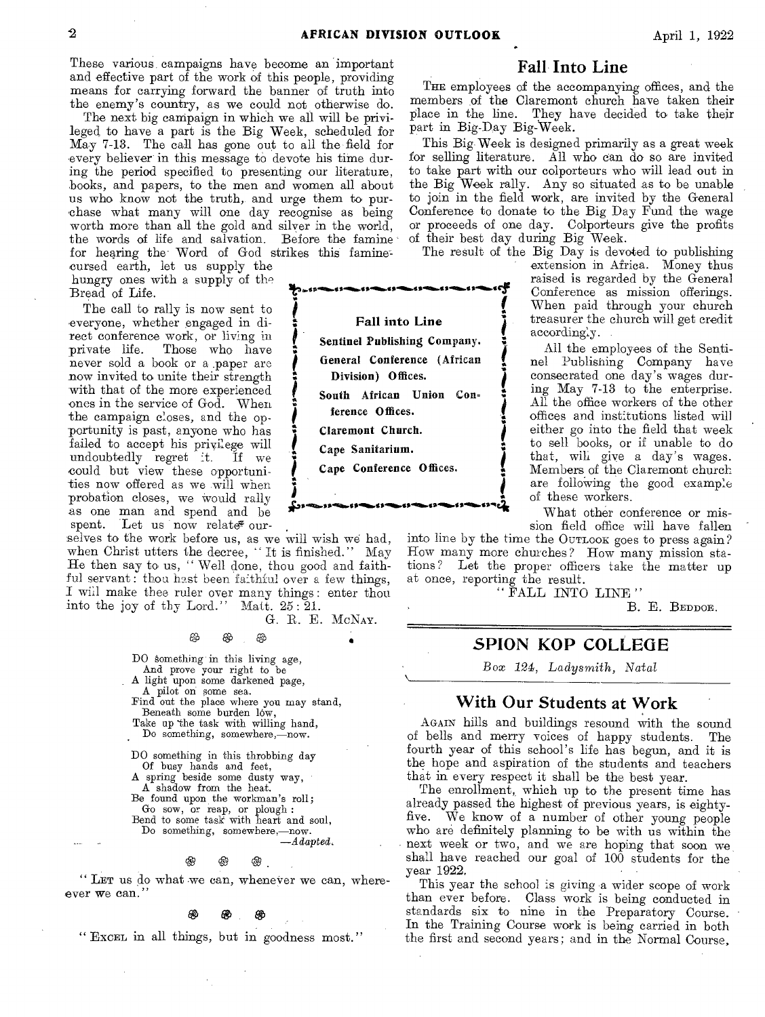These various campaigns have become an important and effective part of the work of this people, providing means for carrying forward the banner of truth into the enemy's country, as we could not otherwise do.

The next big campaign in which we all will be privileged to have a part is the Big Week, scheduled for May 7-13. The call has gone out to all the field for every believer in this message to devote his time during the period specified to presenting our literature, books, and papers, to the men and women all about us who know not the truth, and urge them to purchase what many will one day recognise as being worth more than all the gold and silver in the world, the words of life and salvation. Before the famine for hearing the Word of God strikes this famine

cursed earth, let us supply the hungry ones with a supply of the Bread of Life.

The call to rally is now sent to everyone, whether engaged in direct conference work, or living in private life. Those who have never sold a book or a .paper are now invited to unite their strength with that of the more experienced ones in the service of God. When the campaign closes, and the opportunity is past, anyone who has failed to accept his privilege will<br>undoubtedly regret it. If we undoubtedly regret it. could but view these opportunities now offered as we will when probation closes, we Would rally as one man and spend and be spent. Let us now relate our-

selves to the work before us, as we will wish we had, when Christ utters the decree, " It is finished." May He then say to us, " Well done, thou good and faithful servant: thou hest been faithful over a few things, I will make thee ruler over many things : enter thou into the joy of thy Lord." Matt. 25 : 21.

G. B. E. MCNAY.

0 0

DO Something in this living age, And prove your right to be A light upon some darkened page, A pilot on some sea. Find out the place where you may stand, Beneath some burden low, Take up the task with willing hand, Do something, somewhere,-now. DO something in this throbbing day Of busy hands and feet, A spring beside some dusty way, A shadow from the heat. Be found upon the workman's roll ; Go sow, or reap, or plough : Bend to some task with heart and soul,

Do something, somewhere,—now. *—Adapted,* 

# 0 0 0

" LET us do what we can, whenever we can, whereever we can."

#### æ

" EXCEL in all things, but in goodness most."

## **Fall Into Line**

THE employees of the accompanying offices, and the members of the Claremont church have taken their place in the line. They have decided to take their part in Big-Day Big-Week.

This Big Week is designed primarily as a great week for selling literature. All who can do so are invited to take part with our coiporteurs who will lead out in the Big Week rally. Any so situated as to be unable to join in the field work, are invited by the General Conference to donate to the Big Day Fund the wage or proceeds of one day. Colporteurs give the profits of their best day during Big Week.

accordingly.

extension in Africa. Money thus raised is regarded by the General Conference as mission offerings. When paid through your church treasurer the church will get credit

All the employees of the Sentinel Publishing Company have consecrated one day's wages during May 7-13 to the enterprise. All the office workers of the other offices and institutions listed will either go into the field that week to sell books, or if unable to do that, will give a day's wages. Members of the Claremont church are folloWing the good example

The result of the Big Day is devoted to publishing



sion field office will have fallen into line by the time the OUTLOOK goes to press again?

What other conference or mis-

Row many more churches? How many mission stations? Let the proper officers take the matter up at once, reporting the result.

of these workers.

" FALL INTO LINE "

B. E. BEDDOE.

# **SPION KOP COLLEGE**

Box 124, *Ladysmith, Natal* 

### **With Our Students at Work**

AGAIN hills and buildings resound with the sound of bells and merry voices of happy students. fourth year of this school's life has begun, and it is the hope and aspiration of the students and teachers that in every respect it shall be the best year.

The enrollment, which up to the present time has already passed the highest of previous years, is eightyfive. We know of a number of other young people who are definitely planning to be with us within the next week or two, and we are hoping that soon we shall have reached our goal of 100 students for the year 1922.

This year the school is giving a wider scope of work than ever before. Class work is being conducted in standards six to nine in the Preparatory Course. In the Training Course work is being carried in both the first and second years; and in the Normal Course,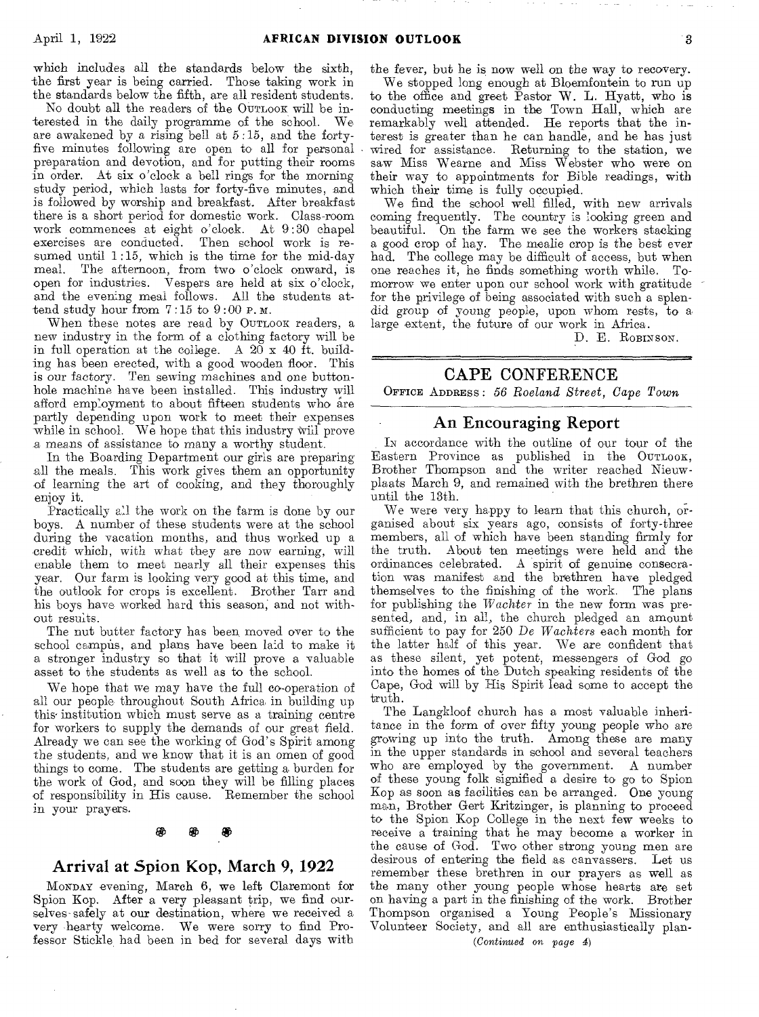which includes all the standards below the sixth, -the first year is being carried. Those taking work in the standards below the fifth, are all resident students.

No doubt all the readers of the OUTLOOK will be interested in the daily programme of the school. We are awakened by a rising bell at 5:15, and the fortyfive minutes following are open to all for personal preparation and devotion, and for putting their rooms in order. At six o'clock a bell rings for the morning study period, which lasts for forty-five minutes, and is followed by worship and breakfast. After breakfast there is a short period for domestic work. Class-room work commences at eight o'clock. At 9 :30 chapel exercises are conducted. Then school work is resumed until 1:15, which is the time for the mid-day meal. The afternoon, from two o'clock onward, is open for industries. Vespers are held at six o'clock, and the evening meal follows. All the students attend study hour from 7:15 to 9 :00 P. M.

When these notes are read by OUTLOOK readers, a new industry in the form of a clothing factory will be in full operation at the college. A  $20 \times 40$  ft. building has been erected, with a good wooden floor. This is our factory. Ten sewing machines and one buttonhole machine have been installed. This industry will afford employment to about fifteen students who are partly depending upon work to meet their expenses while in school. We hope that this industry will prove a means of assistance to many a worthy student.

In the Boarding Department our girls are preparing all the meals. This work gives them an opportunity of learning the art of cooking, and they thoroughly enjoy it.

Practically all the work on the farm is done by our boys. A number of these students were at the school during the vacation months, and thus worked up a credit which, with what they are now earning, will enable them to meet nearly all their expenses this year. Our farm is looking very good at this time, and the outlook for crops is excellent. Brother Tarr and his boys have worked hard this season, and not without results.

The nut butter factory has been. moved over to the school campus, and plans have been laid to make it a stronger industry so that it will prove a valuable asset to the students as well as to the school.

We hope that we may have the full co-operation of all our people throughout South Africa in building up this' institution which must serve as a training centre for workers to supply the demands of our great field. Already we can see the working of God's Spirit among the students, and we know that it is an omen of good things to come. The students are getting a burden for the work of God, and soon they will be filling places of responsibility in His cause. Remember the school in your prayers.

#### ⊛

## Arrival at Spion Kop, March 9, 1922

MONDAY evening, March 6, we left Claremont for Spion Kop. After a very pleasant trip, we find ourselves safely at our destination, where we received a very hearty welcome. We were sorry to find Professor Stickle had been in bed for several days with

the fever, but he is now well on the way *to* recovery.

We stopped long enough at Bloemfontein to run up to the office and greet Pastor W. L. Hyatt, who is conducting meetings in the Town Hall, which are remarkably well attended. He reports that the interest is greater than he can handle, and he has just wired for assistance. Returning to the station, we saw Miss Wearne and Miss Webster who were on their way to appointments for Bible readings, with which their time is fully occupied.

We find the school well filled, with new arrivals coming frequently. The country is looking green and beautiful. On the farm we see the workers stacking a good crop of hay. The mealie crop is the best ever had. The college may be difficult of access, but when one reaches it, he finds something worth while. Tomorrow we enter upon our school work with gratitude for the privilege of being associated with such a splendid group of young people, upon whom rests, to a large extent, the future of our work in Africa.

D. E. ROBINSON.

# CAPE CONFERENCE

OFFICE ADDRESS : *56 Roeland Street, Cape Town* 

### An Encouraging Report

IN accordance with the outline of our tour of the Eastern Province as published in the OUTLOOK, Brother Thompson and the writer reached Nieuwplaats March  $9$ , and remained with the brethren there until the 13th.

We were very happy to learn that this church, organised about six years ago, consists of forty-three members, all of which have been standing firmly for the truth. About ten meetings were held and the ordinances celebrated. A spirit of genuine consecration was manifest and the brethren have pledged themselves to the finishing of the work. The plans for publishing the *Wachter* in the new form was presented, and, in all, the church pledged an amount sufficient to pay for 250 *De Wachters* each month for the latter half of this year. We are confident that as these silent, yet potent, messengers of God go into the homes of the Dutch speaking residents of the Cape, God will by His Spirit lead some to accept the truth.

The Langkloof church has a most valuable inheritance in the form of over fifty young people who are growing up into the truth. Among these are many in the upper standards in school and several teachers who are employed by the government. A number of these young folk signified a desire to go to Spion Kop as soon as facilities can be arranged. One young man, Brother Gert Kritzinger, is planning to proceed to the Spion Kop College in the next few weeks to receive a training that he may become a worker in the cause of God. Two other strong young men are desirous of entering the field as canvassers. Let us remember these brethren in our prayers as well as the many other young people whose hearts are set on having a part in the finishing of the work. Brother Thompson organised a Young People's Missionary Volunteer Society, and all are enthusiastically plan-

*(Continued on page* 4)